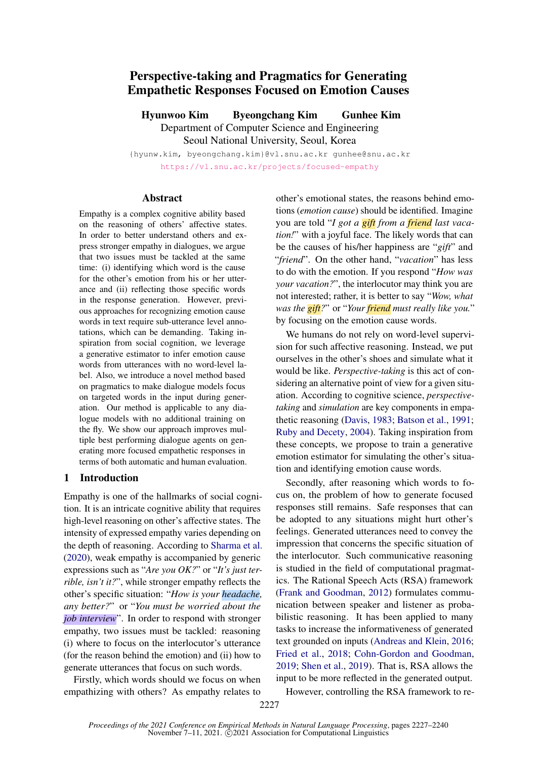# Perspective-taking and Pragmatics for Generating Empathetic Responses Focused on Emotion Causes

Hyunwoo Kim Byeongchang Kim Gunhee Kim Department of Computer Science and Engineering Seoul National University, Seoul, Korea

{hyunw.kim, byeongchang.kim}@vl.snu.ac.kr gunhee@snu.ac.kr <https://vl.snu.ac.kr/projects/focused-empathy>

## Abstract

Empathy is a complex cognitive ability based on the reasoning of others' affective states. In order to better understand others and express stronger empathy in dialogues, we argue that two issues must be tackled at the same time: (i) identifying which word is the cause for the other's emotion from his or her utterance and (ii) reflecting those specific words in the response generation. However, previous approaches for recognizing emotion cause words in text require sub-utterance level annotations, which can be demanding. Taking inspiration from social cognition, we leverage a generative estimator to infer emotion cause words from utterances with no word-level label. Also, we introduce a novel method based on pragmatics to make dialogue models focus on targeted words in the input during generation. Our method is applicable to any dialogue models with no additional training on the fly. We show our approach improves multiple best performing dialogue agents on generating more focused empathetic responses in terms of both automatic and human evaluation.

# 1 Introduction

Empathy is one of the hallmarks of social cognition. It is an intricate cognitive ability that requires high-level reasoning on other's affective states. The intensity of expressed empathy varies depending on the depth of reasoning. According to [Sharma et al.](#page-10-0) [\(2020\)](#page-10-0), weak empathy is accompanied by generic expressions such as "*Are you OK?*" or "*It's just terrible, isn't it?*", while stronger empathy reflects the other's specific situation: "*How is your headache, any better?*" or "*You must be worried about the job interview*". In order to respond with stronger empathy, two issues must be tackled: reasoning (i) where to focus on the interlocutor's utterance (for the reason behind the emotion) and (ii) how to generate utterances that focus on such words.

Firstly, which words should we focus on when empathizing with others? As empathy relates to other's emotional states, the reasons behind emotions (*emotion cause*) should be identified. Imagine you are told "*I got a gift from a friend last vacation!*" with a joyful face. The likely words that can be the causes of his/her happiness are "*gift*" and "*friend*". On the other hand, "*vacation*" has less to do with the emotion. If you respond "*How was your vacation?*", the interlocutor may think you are not interested; rather, it is better to say "*Wow, what was the gift?*" or "*Your friend must really like you.*" by focusing on the emotion cause words.

We humans do not rely on word-level supervision for such affective reasoning. Instead, we put ourselves in the other's shoes and simulate what it would be like. *Perspective-taking* is this act of considering an alternative point of view for a given situation. According to cognitive science, *perspectivetaking* and *simulation* are key components in empathetic reasoning [\(Davis,](#page-8-0) [1983;](#page-8-0) [Batson et al.,](#page-8-1) [1991;](#page-8-1) [Ruby and Decety,](#page-10-1) [2004\)](#page-10-1). Taking inspiration from these concepts, we propose to train a generative emotion estimator for simulating the other's situation and identifying emotion cause words.

Secondly, after reasoning which words to focus on, the problem of how to generate focused responses still remains. Safe responses that can be adopted to any situations might hurt other's feelings. Generated utterances need to convey the impression that concerns the specific situation of the interlocutor. Such communicative reasoning is studied in the field of computational pragmatics. The Rational Speech Acts (RSA) framework [\(Frank and Goodman,](#page-9-0) [2012\)](#page-9-0) formulates communication between speaker and listener as probabilistic reasoning. It has been applied to many tasks to increase the informativeness of generated text grounded on inputs [\(Andreas and Klein,](#page-8-2) [2016;](#page-8-2) [Fried et al.,](#page-9-1) [2018;](#page-9-1) [Cohn-Gordon and Goodman,](#page-8-3) [2019;](#page-8-3) [Shen et al.,](#page-10-2) [2019\)](#page-10-2). That is, RSA allows the input to be more reflected in the generated output.

However, controlling the RSA framework to re-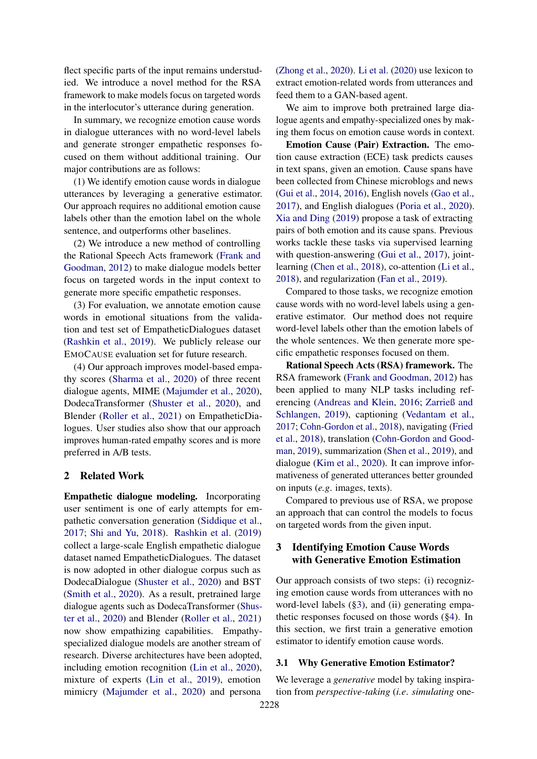flect specific parts of the input remains understudied. We introduce a novel method for the RSA framework to make models focus on targeted words in the interlocutor's utterance during generation.

In summary, we recognize emotion cause words in dialogue utterances with no word-level labels and generate stronger empathetic responses focused on them without additional training. Our major contributions are as follows:

(1) We identify emotion cause words in dialogue utterances by leveraging a generative estimator. Our approach requires no additional emotion cause labels other than the emotion label on the whole sentence, and outperforms other baselines.

(2) We introduce a new method of controlling the Rational Speech Acts framework [\(Frank and](#page-9-0) [Goodman,](#page-9-0) [2012\)](#page-9-0) to make dialogue models better focus on targeted words in the input context to generate more specific empathetic responses.

(3) For evaluation, we annotate emotion cause words in emotional situations from the validation and test set of EmpatheticDialogues dataset [\(Rashkin et al.,](#page-9-2) [2019\)](#page-9-2). We publicly release our EMOCAUSE evaluation set for future research.

(4) Our approach improves model-based empathy scores [\(Sharma et al.,](#page-10-0) [2020\)](#page-10-0) of three recent dialogue agents, MIME [\(Majumder et al.,](#page-9-3) [2020\)](#page-9-3), DodecaTransformer [\(Shuster et al.,](#page-10-3) [2020\)](#page-10-3), and Blender [\(Roller et al.,](#page-10-4) [2021\)](#page-10-4) on EmpatheticDialogues. User studies also show that our approach improves human-rated empathy scores and is more preferred in A/B tests.

## 2 Related Work

Empathetic dialogue modeling. Incorporating user sentiment is one of early attempts for empathetic conversation generation [\(Siddique et al.,](#page-10-5) [2017;](#page-10-5) [Shi and Yu,](#page-10-6) [2018\)](#page-10-6). [Rashkin et al.](#page-9-2) [\(2019\)](#page-9-2) collect a large-scale English empathetic dialogue dataset named EmpatheticDialogues. The dataset is now adopted in other dialogue corpus such as DodecaDialogue [\(Shuster et al.,](#page-10-3) [2020\)](#page-10-3) and BST [\(Smith et al.,](#page-10-7) [2020\)](#page-10-7). As a result, pretrained large dialogue agents such as DodecaTransformer [\(Shus](#page-10-3)[ter et al.,](#page-10-3) [2020\)](#page-10-3) and Blender [\(Roller et al.,](#page-10-4) [2021\)](#page-10-4) now show empathizing capabilities. Empathyspecialized dialogue models are another stream of research. Diverse architectures have been adopted, including emotion recognition [\(Lin et al.,](#page-9-4) [2020\)](#page-9-4), mixture of experts [\(Lin et al.,](#page-9-5) [2019\)](#page-9-5), emotion mimicry [\(Majumder et al.,](#page-9-3) [2020\)](#page-9-3) and persona

[\(Zhong et al.,](#page-10-8) [2020\)](#page-10-8). [Li et al.](#page-9-6) [\(2020\)](#page-9-6) use lexicon to extract emotion-related words from utterances and feed them to a GAN-based agent.

We aim to improve both pretrained large dialogue agents and empathy-specialized ones by making them focus on emotion cause words in context.

Emotion Cause (Pair) Extraction. The emotion cause extraction (ECE) task predicts causes in text spans, given an emotion. Cause spans have been collected from Chinese microblogs and news [\(Gui et al.,](#page-9-7) [2014,](#page-9-7) [2016\)](#page-9-8), English novels [\(Gao et al.,](#page-9-9) [2017\)](#page-9-9), and English dialogues [\(Poria et al.,](#page-9-10) [2020\)](#page-9-10). [Xia and Ding](#page-10-9) [\(2019\)](#page-10-9) propose a task of extracting pairs of both emotion and its cause spans. Previous works tackle these tasks via supervised learning with question-answering [\(Gui et al.,](#page-9-11) [2017\)](#page-9-11), jointlearning [\(Chen et al.,](#page-8-4) [2018\)](#page-8-4), co-attention [\(Li et al.,](#page-9-12) [2018\)](#page-9-12), and regularization [\(Fan et al.,](#page-9-13) [2019\)](#page-9-13).

Compared to those tasks, we recognize emotion cause words with no word-level labels using a generative estimator. Our method does not require word-level labels other than the emotion labels of the whole sentences. We then generate more specific empathetic responses focused on them.

Rational Speech Acts (RSA) framework. The RSA framework [\(Frank and Goodman,](#page-9-0) [2012\)](#page-9-0) has been applied to many NLP tasks including referencing [\(Andreas and Klein,](#page-8-2) [2016;](#page-8-2) [Zarrieß and](#page-10-10) [Schlangen,](#page-10-10) [2019\)](#page-10-10), captioning [\(Vedantam et al.,](#page-10-11) [2017;](#page-10-11) [Cohn-Gordon et al.,](#page-8-5) [2018\)](#page-8-5), navigating [\(Fried](#page-9-1) [et al.,](#page-9-1) [2018\)](#page-9-1), translation [\(Cohn-Gordon and Good](#page-8-3)[man,](#page-8-3) [2019\)](#page-8-3), summarization [\(Shen et al.,](#page-10-2) [2019\)](#page-10-2), and dialogue [\(Kim et al.,](#page-9-14) [2020\)](#page-9-14). It can improve informativeness of generated utterances better grounded on inputs (*e.g*. images, texts).

Compared to previous use of RSA, we propose an approach that can control the models to focus on targeted words from the given input.

# <span id="page-1-0"></span>3 Identifying Emotion Cause Words with Generative Emotion Estimation

Our approach consists of two steps: (i) recognizing emotion cause words from utterances with no word-level labels ([§3\)](#page-1-0), and (ii) generating empathetic responses focused on those words ([§4\)](#page-3-0). In this section, we first train a generative emotion estimator to identify emotion cause words.

## <span id="page-1-1"></span>3.1 Why Generative Emotion Estimator?

We leverage a *generative* model by taking inspiration from *perspective-taking* (*i.e*. *simulating* one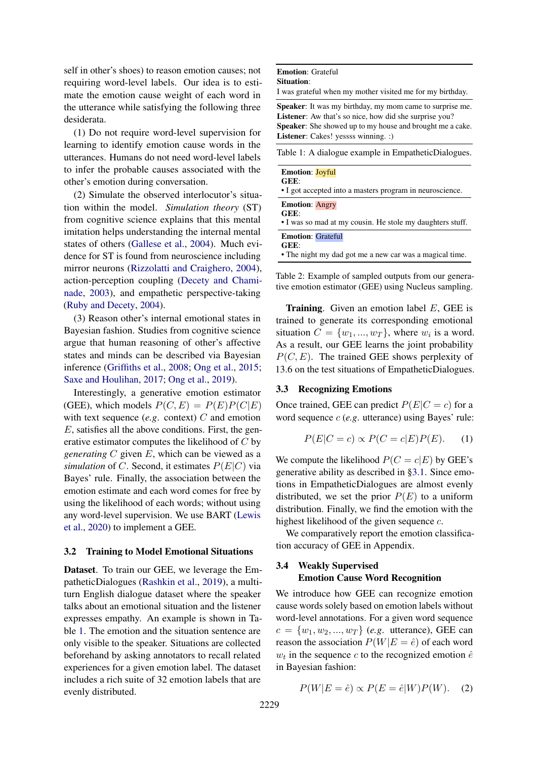self in other's shoes) to reason emotion causes; not requiring word-level labels. Our idea is to estimate the emotion cause weight of each word in the utterance while satisfying the following three desiderata.

(1) Do not require word-level supervision for learning to identify emotion cause words in the utterances. Humans do not need word-level labels to infer the probable causes associated with the other's emotion during conversation.

(2) Simulate the observed interlocutor's situation within the model. *Simulation theory* (ST) from cognitive science explains that this mental imitation helps understanding the internal mental states of others [\(Gallese et al.,](#page-9-15) [2004\)](#page-9-15). Much evidence for ST is found from neuroscience including mirror neurons [\(Rizzolatti and Craighero,](#page-9-16) [2004\)](#page-9-16), action-perception coupling [\(Decety and Chami](#page-9-17)[nade,](#page-9-17) [2003\)](#page-9-17), and empathetic perspective-taking [\(Ruby and Decety,](#page-10-1) [2004\)](#page-10-1).

(3) Reason other's internal emotional states in Bayesian fashion. Studies from cognitive science argue that human reasoning of other's affective states and minds can be described via Bayesian inference [\(Griffiths et al.,](#page-9-18) [2008;](#page-9-18) [Ong et al.,](#page-9-19) [2015;](#page-9-19) [Saxe and Houlihan,](#page-10-12) [2017;](#page-10-12) [Ong et al.,](#page-9-20) [2019\)](#page-9-20).

Interestingly, a generative emotion estimator (GEE), which models  $P(C, E) = P(E)P(C|E)$ with text sequence  $(e.g.$  context)  $C$  and emotion E, satisfies all the above conditions. First, the generative estimator computes the likelihood of C by *generating* C given E, which can be viewed as a *simulation* of C. Second, it estimates  $P(E|C)$  via Bayes' rule. Finally, the association between the emotion estimate and each word comes for free by using the likelihood of each words; without using any word-level supervision. We use BART [\(Lewis](#page-9-21) [et al.,](#page-9-21) [2020\)](#page-9-21) to implement a GEE.

### <span id="page-2-4"></span>3.2 Training to Model Emotional Situations

Dataset. To train our GEE, we leverage the EmpatheticDialogues [\(Rashkin et al.,](#page-9-2) [2019\)](#page-9-2), a multiturn English dialogue dataset where the speaker talks about an emotional situation and the listener expresses empathy. An example is shown in Table [1.](#page-2-0) The emotion and the situation sentence are only visible to the speaker. Situations are collected beforehand by asking annotators to recall related experiences for a given emotion label. The dataset includes a rich suite of 32 emotion labels that are evenly distributed.

## <span id="page-2-0"></span>Emotion: Grateful

Situation:

I was grateful when my mother visited me for my birthday.

Speaker: It was my birthday, my mom came to surprise me. Listener: Aw that's so nice, how did she surprise you? Speaker: She showed up to my house and brought me a cake. Listener: Cakes! yessss winning. :)

| Table 1: A dialogue example in EmpatheticDialogues.                                         |
|---------------------------------------------------------------------------------------------|
| <b>Emotion: Joyful</b><br>GEE:<br>• I got accepted into a masters program in neuroscience.  |
| <b>Emotion: Angry</b><br>GEE:<br>• I was so mad at my cousin. He stole my daughters stuff.  |
| <b>Emotion: Grateful</b><br>GEE:<br>• The night my dad got me a new car was a magical time. |

Table 2: Example of sampled outputs from our generative emotion estimator (GEE) using Nucleus sampling.

**Training.** Given an emotion label  $E$ , GEE is trained to generate its corresponding emotional situation  $C = \{w_1, ..., w_T\}$ , where  $w_i$  is a word. As a result, our GEE learns the joint probability  $P(C, E)$ . The trained GEE shows perplexity of 13.6 on the test situations of EmpatheticDialogues.

## <span id="page-2-2"></span>3.3 Recognizing Emotions

Once trained, GEE can predict  $P(E|C = c)$  for a word sequence c (*e.g*. utterance) using Bayes' rule:

<span id="page-2-1"></span>
$$
P(E|C = c) \propto P(C = c|E)P(E). \quad (1)
$$

We compute the likelihood  $P(C = c|E)$  by GEE's generative ability as described in [§3.1.](#page-1-1) Since emotions in EmpatheticDialogues are almost evenly distributed, we set the prior  $P(E)$  to a uniform distribution. Finally, we find the emotion with the highest likelihood of the given sequence c.

We comparatively report the emotion classification accuracy of GEE in Appendix.

# <span id="page-2-3"></span>3.4 Weakly Supervised Emotion Cause Word Recognition

We introduce how GEE can recognize emotion cause words solely based on emotion labels without word-level annotations. For a given word sequence  $c = \{w_1, w_2, ..., w_T\}$  (*e.g.* utterance), GEE can reason the association  $P(W|E = \hat{e})$  of each word  $w_t$  in the sequence c to the recognized emotion  $\hat{e}$ in Bayesian fashion:

$$
P(W|E = \hat{e}) \propto P(E = \hat{e}|W)P(W).
$$
 (2)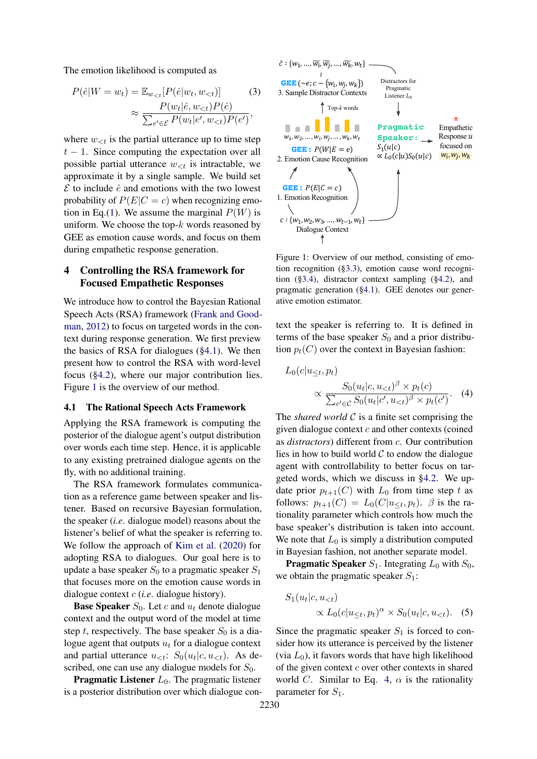The emotion likelihood is computed as

$$
P(\hat{e}|W = w_t) = \mathbb{E}_{w_{< t}} [P(\hat{e}|w_t, w_{< t})]
$$
(3)  

$$
\approx \frac{P(w_t|\hat{e}, w_{< t}) P(\hat{e})}{\sum_{e' \in \mathcal{E}} P(w_t|e', w_{< t}) P(e')},
$$

where  $w_{\leq t}$  is the partial utterance up to time step  $t - 1$ . Since computing the expectation over all possible partial utterance  $w_{\leq t}$  is intractable, we approximate it by a single sample. We build set  $\mathcal E$  to include  $\hat e$  and emotions with the two lowest probability of  $P(E|C = c)$  when recognizing emo-tion in Eq.[\(1\)](#page-2-1). We assume the marginal  $P(W)$  is uniform. We choose the top- $k$  words reasoned by GEE as emotion cause words, and focus on them during empathetic response generation.

# <span id="page-3-0"></span>4 Controlling the RSA framework for Focused Empathetic Responses

We introduce how to control the Bayesian Rational Speech Acts (RSA) framework [\(Frank and Good](#page-9-0)[man,](#page-9-0) [2012\)](#page-9-0) to focus on targeted words in the context during response generation. We first preview the basics of RSA for dialogues ([§4.1\)](#page-3-1). We then present how to control the RSA with word-level focus ([§4.2\)](#page-4-0), where our major contribution lies. Figure [1](#page-3-2) is the overview of our method.

## <span id="page-3-1"></span>4.1 The Rational Speech Acts Framework

Applying the RSA framework is computing the posterior of the dialogue agent's output distribution over words each time step. Hence, it is applicable to any existing pretrained dialogue agents on the fly, with no additional training.

The RSA framework formulates communication as a reference game between speaker and listener. Based on recursive Bayesian formulation, the speaker (*i.e*. dialogue model) reasons about the listener's belief of what the speaker is referring to. We follow the approach of [Kim et al.](#page-9-14) [\(2020\)](#page-9-14) for adopting RSA to dialogues. Our goal here is to update a base speaker  $S_0$  to a pragmatic speaker  $S_1$ that focuses more on the emotion cause words in dialogue context c (*i.e*. dialogue history).

**Base Speaker**  $S_0$ . Let c and  $u_t$  denote dialogue context and the output word of the model at time step t, respectively. The base speaker  $S_0$  is a dialogue agent that outputs  $u_t$  for a dialogue context and partial utterance  $u_{\leq t}$ :  $S_0(u_t|c, u_{\leq t})$ . As described, one can use any dialogue models for  $S_0$ .

**Pragmatic Listener**  $L_0$ . The pragmatic listener is a posterior distribution over which dialogue con-

<span id="page-3-2"></span>

Figure 1: Overview of our method, consisting of emotion recognition ([§3.3\)](#page-2-2), emotion cause word recognition ([§3.4\)](#page-2-3), distractor context sampling ([§4.2\)](#page-4-0), and pragmatic generation ([§4.1\)](#page-3-1). GEE denotes our generative emotion estimator.

text the speaker is referring to. It is defined in terms of the base speaker  $S_0$  and a prior distribution  $p_t(C)$  over the context in Bayesian fashion:

<span id="page-3-3"></span>
$$
L_0(c|u_{\leq t}, p_t) \propto \frac{S_0(u_t|c, u_{ (4)
$$

The *shared world*  $C$  is a finite set comprising the given dialogue context  $c$  and other contexts (coined as *distractors*) different from c. Our contribution lies in how to build world  $C$  to endow the dialogue agent with controllability to better focus on targeted words, which we discuss in [§4.2.](#page-4-0) We update prior  $p_{t+1}(C)$  with  $L_0$  from time step t as follows:  $p_{t+1}(C) = L_0(C|u \leq t, p_t)$ .  $\beta$  is the rationality parameter which controls how much the base speaker's distribution is taken into account. We note that  $L_0$  is simply a distribution computed in Bayesian fashion, not another separate model.

**Pragmatic Speaker**  $S_1$ . Integrating  $L_0$  with  $S_0$ , we obtain the pragmatic speaker  $S_1$ :

<span id="page-3-4"></span>
$$
S_1(u_t|c, u_{< t}) \propto L_0(c|u_{\leq t}, p_t)^{\alpha} \times S_0(u_t|c, u_{< t}). \quad (5)
$$

Since the pragmatic speaker  $S_1$  is forced to consider how its utterance is perceived by the listener (via  $L_0$ ), it favors words that have high likelihood of the given context  $c$  over other contexts in shared world C. Similar to Eq. [4,](#page-3-3)  $\alpha$  is the rationality parameter for  $S_1$ .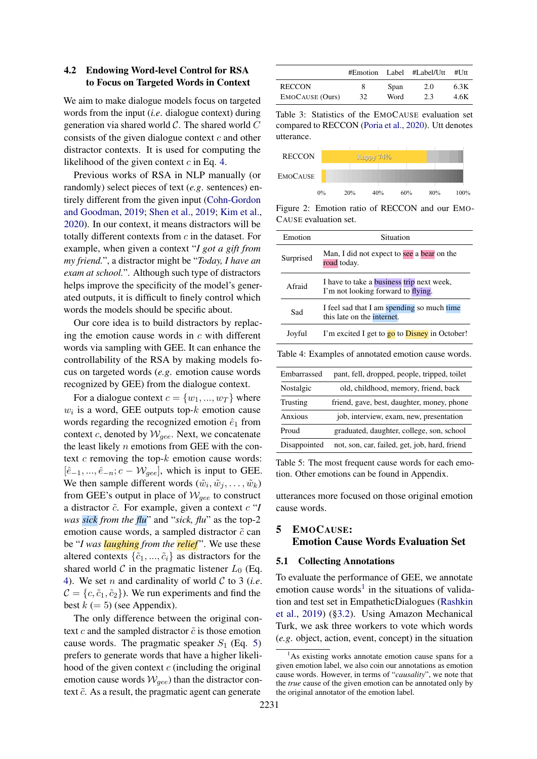# <span id="page-4-0"></span>4.2 Endowing Word-level Control for RSA to Focus on Targeted Words in Context

We aim to make dialogue models focus on targeted words from the input (*i.e*. dialogue context) during generation via shared world  $C$ . The shared world  $C$ consists of the given dialogue context  $c$  and other distractor contexts. It is used for computing the likelihood of the given context  $c$  in Eq. [4.](#page-3-3)

Previous works of RSA in NLP manually (or randomly) select pieces of text (*e.g*. sentences) entirely different from the given input [\(Cohn-Gordon](#page-8-3) [and Goodman,](#page-8-3) [2019;](#page-8-3) [Shen et al.,](#page-10-2) [2019;](#page-10-2) [Kim et al.,](#page-9-14) [2020\)](#page-9-14). In our context, it means distractors will be totally different contexts from  $c$  in the dataset. For example, when given a context "*I got a gift from my friend.*", a distractor might be "*Today, I have an exam at school.*". Although such type of distractors helps improve the specificity of the model's generated outputs, it is difficult to finely control which words the models should be specific about.

Our core idea is to build distractors by replacing the emotion cause words in  $c$  with different words via sampling with GEE. It can enhance the controllability of the RSA by making models focus on targeted words (*e.g*. emotion cause words recognized by GEE) from the dialogue context.

For a dialogue context  $c = \{w_1, ..., w_T\}$  where  $w_i$  is a word, GEE outputs top- $k$  emotion cause words regarding the recognized emotion  $\hat{e}_1$  from context c, denoted by  $W_{\text{gee}}$ . Next, we concatenate the least likely  $n$  emotions from GEE with the context  $c$  removing the top- $k$  emotion cause words:  $[\hat{e}_{-1}, ..., \hat{e}_{-n}; c - \mathcal{W}_{gee}]$ , which is input to GEE. We then sample different words  $(\tilde{w}_i, \tilde{w}_j, \dots, \tilde{w}_k)$ from GEE's output in place of  $W_{gee}$  to construct a distractor  $\tilde{c}$ . For example, given a context  $c$  "*I was sick from the flu*" and "*sick, flu*" as the top-2 emotion cause words, a sampled distractor  $\tilde{c}$  can be "*I was laughing from the relief* ". We use these altered contexts  $\{\tilde{c}_1, ..., \tilde{c}_i\}$  as distractors for the shared world C in the pragmatic listener  $L_0$  (Eq. [4\)](#page-3-3). We set n and cardinality of world C to 3 (*i.e*.  $\mathcal{C} = \{c, \tilde{c}_1, \tilde{c}_2\}$ . We run experiments and find the best  $k (= 5)$  (see Appendix).

The only difference between the original context c and the sampled distractor  $\tilde{c}$  is those emotion cause words. The pragmatic speaker  $S_1$  (Eq. [5\)](#page-3-4) prefers to generate words that have a higher likelihood of the given context  $c$  (including the original emotion cause words  $W_{gee}$ ) than the distractor context  $\tilde{c}$ . As a result, the pragmatic agent can generate

<span id="page-4-2"></span>

|                        |    |      | $#Emotion$ Label $#Label$ Label/Utt | #Utt |
|------------------------|----|------|-------------------------------------|------|
| <b>RECCON</b>          | 8  | Span | 2.0                                 | 6.3K |
| <b>EMOCAUSE</b> (Ours) | 32 | Word | 2.3                                 | 4.6K |

Table 3: Statistics of the EMOCAUSE evaluation set compared to RECCON [\(Poria et al.,](#page-9-10) [2020\)](#page-9-10). Utt denotes utterance.

<span id="page-4-3"></span>

Figure 2: Emotion ratio of RECCON and our EMO-CAUSE evaluation set.

<span id="page-4-4"></span>

| Emotion      | Situation                                                                              |
|--------------|----------------------------------------------------------------------------------------|
| Surprised    | Man, I did not expect to see a bear on the<br>road today.                              |
| Afraid       | I have to take a <b>business</b> trip next week,<br>I'm not looking forward to flying. |
| Sad          | I feel sad that I am spending so much time<br>this late on the internet.               |
| Joyful       | I'm excited I get to go to Disney in October!                                          |
|              | Table 4: Examples of annotated emotion cause words.                                    |
| Embarrassed  | pant, fell, dropped, people, tripped, toilet                                           |
| Nostalgic    | old, childhood, memory, friend, back                                                   |
| Trusting     | friend, gave, best, daughter, money, phone                                             |
| Anxious      | job, interview, exam, new, presentation                                                |
| Proud        | graduated, daughter, college, son, school                                              |
| Disappointed | not, son, car, failed, get, job, hard, friend                                          |

<span id="page-4-5"></span>Table 5: The most frequent cause words for each emotion. Other emotions can be found in Appendix.

utterances more focused on those original emotion cause words.

# <span id="page-4-6"></span>5 EMOCAUSE: Emotion Cause Words Evaluation Set

## 5.1 Collecting Annotations

To evaluate the performance of GEE, we annotate emotion cause words<sup>[1](#page-4-1)</sup> in the situations of validation and test set in EmpatheticDialogues [\(Rashkin](#page-9-2) [et al.,](#page-9-2) [2019\)](#page-9-2) ([§3.2\)](#page-2-4). Using Amazon Mechanical Turk, we ask three workers to vote which words (*e.g*. object, action, event, concept) in the situation

<span id="page-4-1"></span> $<sup>1</sup>$ As existing works annotate emotion cause spans for a</sup> given emotion label, we also coin our annotations as emotion cause words. However, in terms of "*causality*", we note that the *true* cause of the given emotion can be annotated only by the original annotator of the emotion label.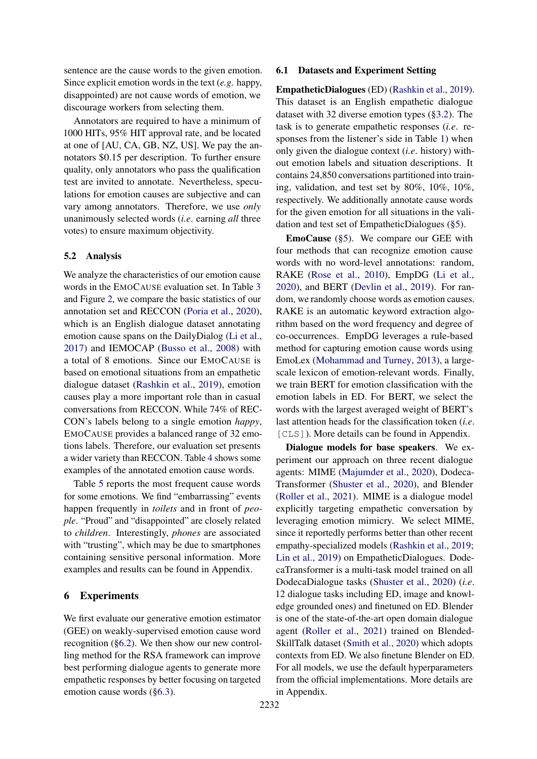sentence are the cause words to the given emotion. Since explicit emotion words in the text (*e.g*. happy, disappointed) are not cause words of emotion, we discourage workers from selecting them.

Annotators are required to have a minimum of 1000 HITs, 95% HIT approval rate, and be located at one of [AU, CA, GB, NZ, US]. We pay the annotators \$0.15 per description. To further ensure quality, only annotators who pass the qualification test are invited to annotate. Nevertheless, speculations for emotion causes are subjective and can vary among annotators. Therefore, we use *only* unanimously selected words (*i.e*. earning *all* three votes) to ensure maximum objectivity.

## 5.2 Analysis

We analyze the characteristics of our emotion cause words in the EMOCAUSE evaluation set. In Table [3](#page-4-2) and Figure [2,](#page-4-3) we compare the basic statistics of our annotation set and RECCON [\(Poria et al.,](#page-9-10) [2020\)](#page-9-10), which is an English dialogue dataset annotating emotion cause spans on the DailyDialog [\(Li et al.,](#page-9-22) [2017\)](#page-9-22) and IEMOCAP [\(Busso et al.,](#page-8-6) [2008\)](#page-8-6) with a total of 8 emotions. Since our EMOCAUSE is based on emotional situations from an empathetic dialogue dataset [\(Rashkin et al.,](#page-9-2) [2019\)](#page-9-2), emotion causes play a more important role than in casual conversations from RECCON. While 74% of REC-CON's labels belong to a single emotion *happy*, EMOCAUSE provides a balanced range of 32 emotions labels. Therefore, our evaluation set presents a wider variety than RECCON. Table [4](#page-4-4) shows some examples of the annotated emotion cause words.

Table [5](#page-4-5) reports the most frequent cause words for some emotions. We find "embarrassing" events happen frequently in *toilets* and in front of *people*. "Proud" and "disappointed" are closely related to *children*. Interestingly, *phones* are associated with "trusting", which may be due to smartphones containing sensitive personal information. More examples and results can be found in Appendix.

## 6 Experiments

We first evaluate our generative emotion estimator (GEE) on weakly-supervised emotion cause word recognition ([§6.2\)](#page-6-0). We then show our new controlling method for the RSA framework can improve best performing dialogue agents to generate more empathetic responses by better focusing on targeted emotion cause words ([§6.3\)](#page-6-1).

## 6.1 Datasets and Experiment Setting

EmpatheticDialogues (ED) [\(Rashkin et al.,](#page-9-2) [2019\)](#page-9-2). This dataset is an English empathetic dialogue dataset with 32 diverse emotion types ([§3.2\)](#page-2-4). The task is to generate empathetic responses (*i.e*. responses from the listener's side in Table [1\)](#page-2-0) when only given the dialogue context (*i.e*. history) without emotion labels and situation descriptions. It contains 24,850 conversations partitioned into training, validation, and test set by 80%, 10%, 10%, respectively. We additionally annotate cause words for the given emotion for all situations in the validation and test set of EmpatheticDialogues ([§5\)](#page-4-6).

EmoCause ([§5\)](#page-4-6). We compare our GEE with four methods that can recognize emotion cause words with no word-level annotations: random, RAKE [\(Rose et al.,](#page-10-13) [2010\)](#page-10-13), EmpDG [\(Li et al.,](#page-9-6) [2020\)](#page-9-6), and BERT [\(Devlin et al.,](#page-9-23) [2019\)](#page-9-23). For random, we randomly choose words as emotion causes. RAKE is an automatic keyword extraction algorithm based on the word frequency and degree of co-occurrences. EmpDG leverages a rule-based method for capturing emotion cause words using EmoLex [\(Mohammad and Turney,](#page-9-24) [2013\)](#page-9-24), a largescale lexicon of emotion-relevant words. Finally, we train BERT for emotion classification with the emotion labels in ED. For BERT, we select the words with the largest averaged weight of BERT's last attention heads for the classification token (*i.e*. [CLS]). More details can be found in Appendix.

Dialogue models for base speakers. We experiment our approach on three recent dialogue agents: MIME [\(Majumder et al.,](#page-9-3) [2020\)](#page-9-3), Dodeca-Transformer [\(Shuster et al.,](#page-10-3) [2020\)](#page-10-3), and Blender [\(Roller et al.,](#page-10-4) [2021\)](#page-10-4). MIME is a dialogue model explicitly targeting empathetic conversation by leveraging emotion mimicry. We select MIME, since it reportedly performs better than other recent empathy-specialized models [\(Rashkin et al.,](#page-9-2) [2019;](#page-9-2) [Lin et al.,](#page-9-5) [2019\)](#page-9-5) on EmpatheticDialogues. DodecaTransformer is a multi-task model trained on all DodecaDialogue tasks [\(Shuster et al.,](#page-10-3) [2020\)](#page-10-3) (*i.e*. 12 dialogue tasks including ED, image and knowledge grounded ones) and finetuned on ED. Blender is one of the state-of-the-art open domain dialogue agent [\(Roller et al.,](#page-10-4) [2021\)](#page-10-4) trained on Blended-SkillTalk dataset [\(Smith et al.,](#page-10-7) [2020\)](#page-10-7) which adopts contexts from ED. We also finetune Blender on ED. For all models, we use the default hyperparameters from the official implementations. More details are in Appendix.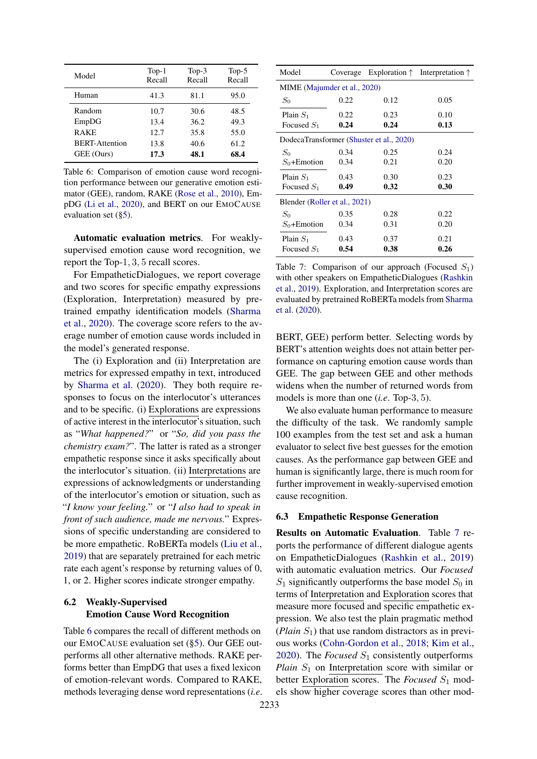<span id="page-6-2"></span>

| Model                 | $Top-1$<br>Recall | $Top-3$<br>Recall | $Top-5$<br>Recall |
|-----------------------|-------------------|-------------------|-------------------|
| Human                 | 41.3              | 81.1              | 95.0              |
| Random                | 10.7              | 30.6              | 48.5              |
| EmpDG                 | 13.4              | 36.2              | 49.3              |
| <b>RAKE</b>           | 12.7              | 35.8              | 55.0              |
| <b>BERT-Attention</b> | 13.8              | 40.6              | 61.2              |
| GEE (Ours)            | 17.3              | 48.1              | 68.4              |

Table 6: Comparison of emotion cause word recognition performance between our generative emotion estimator (GEE), random, RAKE [\(Rose et al.,](#page-10-13) [2010\)](#page-10-13), EmpDG [\(Li et al.,](#page-9-6) [2020\)](#page-9-6), and BERT on our EMOCAUSE evaluation set ([§5\)](#page-4-6).

Automatic evaluation metrics. For weaklysupervised emotion cause word recognition, we report the Top-1, 3, 5 recall scores.

For EmpatheticDialogues, we report coverage and two scores for specific empathy expressions (Exploration, Interpretation) measured by pretrained empathy identification models [\(Sharma](#page-10-0) [et al.,](#page-10-0) [2020\)](#page-10-0). The coverage score refers to the average number of emotion cause words included in the model's generated response.

The (i) Exploration and (ii) Interpretation are metrics for expressed empathy in text, introduced by [Sharma et al.](#page-10-0) [\(2020\)](#page-10-0). They both require responses to focus on the interlocutor's utterances and to be specific. (i) Explorations are expressions of active interest in the interlocutor's situation, such as "*What happened?*" or "*So, did you pass the chemistry exam?*". The latter is rated as a stronger empathetic response since it asks specifically about the interlocutor's situation. (ii) Interpretations are expressions of acknowledgments or understanding of the interlocutor's emotion or situation, such as "*I know your feeling.*" or "*I also had to speak in front of such audience, made me nervous.*" Expressions of specific understanding are considered to be more empathetic. RoBERTa models [\(Liu et al.,](#page-9-25) [2019\)](#page-9-25) that are separately pretrained for each metric rate each agent's response by returning values of 0, 1, or 2. Higher scores indicate stronger empathy.

# <span id="page-6-0"></span>6.2 Weakly-Supervised Emotion Cause Word Recognition

Table [6](#page-6-2) compares the recall of different methods on our EMOCAUSE evaluation set ([§5\)](#page-4-6). Our GEE outperforms all other alternative methods. RAKE performs better than EmpDG that uses a fixed lexicon of emotion-relevant words. Compared to RAKE, methods leveraging dense word representations (*i.e*.

<span id="page-6-3"></span>

| Model                         |      |                                          | Coverage Exploration $\uparrow$ Interpretation $\uparrow$ |  |
|-------------------------------|------|------------------------------------------|-----------------------------------------------------------|--|
| MIME (Majumder et al., 2020)  |      |                                          |                                                           |  |
| $S_0$                         | 0.22 | 0.12                                     | 0.05                                                      |  |
| Plain $S_1$                   | 0.22 | 0.23                                     | 0.10                                                      |  |
| Focused $S_1$                 | 0.24 | 0.24                                     | 0.13                                                      |  |
|                               |      | DodecaTransformer (Shuster et al., 2020) |                                                           |  |
| $S_0$                         | 0.34 | 0.25                                     | 0.24                                                      |  |
| $S_0 +$ Emotion               | 0.34 | 0.21                                     | 0.20                                                      |  |
| Plain $S_1$                   | 0.43 | 0.30                                     | 0.23                                                      |  |
| Focused $S_1$                 | 0.49 | 0.32                                     | 0.30                                                      |  |
| Blender (Roller et al., 2021) |      |                                          |                                                           |  |
| $S_0$                         | 0.35 | 0.28                                     | 0.22                                                      |  |
| $S_0$ +Emotion                | 0.34 | 0.31                                     | 0.20                                                      |  |
| Plain $S_1$                   | 0.43 | 0.37                                     | 0.21                                                      |  |
| Focused $S_1$                 | 0.54 | 0.38                                     | 0.26                                                      |  |

Table 7: Comparison of our approach (Focused  $S_1$ ) with other speakers on EmpatheticDialogues [\(Rashkin](#page-9-2) [et al.,](#page-9-2) [2019\)](#page-9-2). Exploration, and Interpretation scores are evaluated by pretrained RoBERTa models from [Sharma](#page-10-0) [et al.](#page-10-0) [\(2020\)](#page-10-0).

BERT, GEE) perform better. Selecting words by BERT's attention weights does not attain better performance on capturing emotion cause words than GEE. The gap between GEE and other methods widens when the number of returned words from models is more than one (*i.e*. Top-3, 5).

We also evaluate human performance to measure the difficulty of the task. We randomly sample 100 examples from the test set and ask a human evaluator to select five best guesses for the emotion causes. As the performance gap between GEE and human is significantly large, there is much room for further improvement in weakly-supervised emotion cause recognition.

# <span id="page-6-1"></span>6.3 Empathetic Response Generation

Results on Automatic Evaluation. Table [7](#page-6-3) reports the performance of different dialogue agents on EmpatheticDialogues [\(Rashkin et al.,](#page-9-2) [2019\)](#page-9-2) with automatic evaluation metrics. Our *Focused*  $S_1$  significantly outperforms the base model  $S_0$  in terms of Interpretation and Exploration scores that measure more focused and specific empathetic expression. We also test the plain pragmatic method (*Plain*  $S_1$ ) that use random distractors as in previous works [\(Cohn-Gordon et al.,](#page-8-5) [2018;](#page-8-5) [Kim et al.,](#page-9-14) [2020\)](#page-9-14). The *Focused*  $S_1$  consistently outperforms *Plain*  $S_1$  on Interpretation score with similar or better Exploration scores. The *Focused*  $S_1$  models show higher coverage scores than other mod-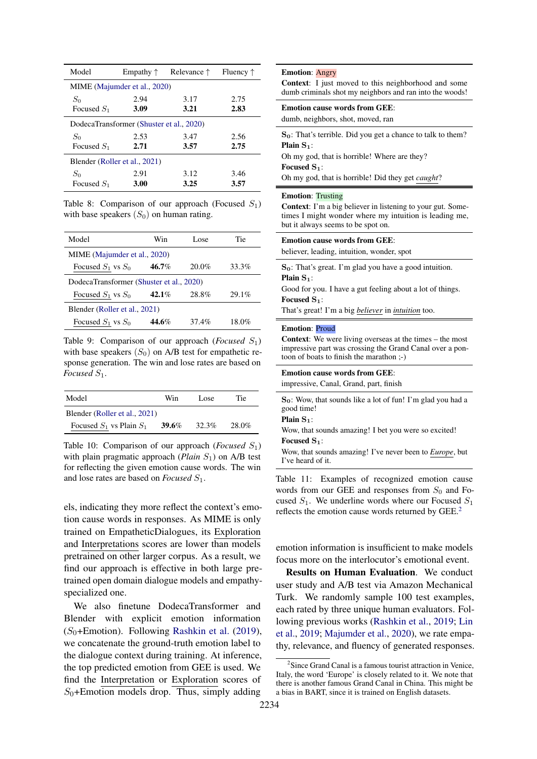<span id="page-7-1"></span>

| Model                         | Empathy $\uparrow$                       | Relevance $\uparrow$ | Fluency $\uparrow$ |
|-------------------------------|------------------------------------------|----------------------|--------------------|
|                               | MIME (Majumder et al., 2020)             |                      |                    |
| $S_0$                         | 2.94                                     | 3.17                 | 2.75               |
| Focused $S_1$                 | 3.09                                     | 3.21                 | 2.83               |
|                               | DodecaTransformer (Shuster et al., 2020) |                      |                    |
| $S_0$                         | 2.53                                     | 3.47                 | 2.56               |
| Focused $S_1$                 | 2.71                                     | 3.57                 | 2.75               |
| Blender (Roller et al., 2021) |                                          |                      |                    |
| $S_0$                         | 2.91                                     | 3.12                 | 3.46               |
| Focused $S_1$                 | 3.00                                     | 3.25                 | 3.57               |

Table 8: Comparison of our approach (Focused  $S_1$ ) with base speakers  $(S_0)$  on human rating.

<span id="page-7-2"></span>

| Model                                    | Win      | Lose.    | Tie   |
|------------------------------------------|----------|----------|-------|
| MIME (Majumder et al., 2020)             |          |          |       |
| Focused $S_1$ vs $S_0$                   | 46.7%    | $20.0\%$ | 33.3% |
| DodecaTransformer (Shuster et al., 2020) |          |          |       |
| Focused $S_1$ vs $S_0$                   | $42.1\%$ | 28.8%    | 29.1% |
| Blender (Roller et al., 2021)            |          |          |       |
| Focused $S_1$ vs $S_0$                   | 44.6%    | 37.4%    | 18.0% |

Table 9: Comparison of our approach (*Focused*  $S_1$ ) with base speakers  $(S_0)$  on A/B test for empathetic response generation. The win and lose rates are based on *Focused*  $S_1$ *.* 

<span id="page-7-3"></span>

| Model                         | Win   | Lose.    | <b>Tie</b> |
|-------------------------------|-------|----------|------------|
| Blender (Roller et al., 2021) |       |          |            |
| Focused $S_1$ vs Plain $S_1$  | 39.6% | $32.3\%$ | 28.0%      |

Table 10: Comparison of our approach (*Focused*  $S_1$ ) with plain pragmatic approach  $(Plain S<sub>1</sub>)$  on A/B test for reflecting the given emotion cause words. The win and lose rates are based on *Focused*  $S_1$ .

els, indicating they more reflect the context's emotion cause words in responses. As MIME is only trained on EmpatheticDialogues, its Exploration and Interpretations scores are lower than models pretrained on other larger corpus. As a result, we find our approach is effective in both large pretrained open domain dialogue models and empathyspecialized one.

We also finetune DodecaTransformer and Blender with explicit emotion information  $(S<sub>0</sub>+Emotion)$ . Following [Rashkin et al.](#page-9-2) [\(2019\)](#page-9-2), we concatenate the ground-truth emotion label to the dialogue context during training. At inference, the top predicted emotion from GEE is used. We find the Interpretation or Exploration scores of  $S_0$ +Emotion models drop. Thus, simply adding

## <span id="page-7-4"></span>Emotion: Angry

Context: I just moved to this neighborhood and some dumb criminals shot my neighbors and ran into the woods!

## Emotion cause words from GEE:

dumb, neighbors, shot, moved, ran

S<sub>0</sub>: That's terrible. Did you get a chance to talk to them? Plain  $S_1$ :

Oh my god, that is horrible! Where are they? Focused  $S_1$ :

Oh my god, that is horrible! Did they get *caught*?

#### **Emotion: Trusting**

Context: I'm a big believer in listening to your gut. Sometimes I might wonder where my intuition is leading me, but it always seems to be spot on.

| <b>Emotion cause words from GEE:</b>       |  |
|--------------------------------------------|--|
| believer, leading, intuition, wonder, spot |  |

 $S_0$ : That's great. I'm glad you have a good intuition. Plain S<sub>1</sub>:

Good for you. I have a gut feeling about a lot of things. Focused S<sub>1</sub>:

That's great! I'm a big *believer* in *intuition* too.

#### Emotion: Proud

Context: We were living overseas at the times – the most impressive part was crossing the Grand Canal over a pontoon of boats to finish the marathon ;-)

| <b>Emotion cause words from GEE:</b>   |  |
|----------------------------------------|--|
| impressive, Canal, Grand, part, finish |  |

S0: Wow, that sounds like a lot of fun! I'm glad you had a good time!

Plain  $S_1$ :

Wow, that sounds amazing! I bet you were so excited! Focused S<sub>1</sub>:

Wow, that sounds amazing! I've never been to *Europe*, but I've heard of it.

Table 11: Examples of recognized emotion cause words from our GEE and responses from  $S_0$  and Focused  $S_1$ . We underline words where our Focused  $S_1$ reflects the emotion cause words returned by GEE.[2](#page-7-0)

emotion information is insufficient to make models focus more on the interlocutor's emotional event.

Results on Human Evaluation. We conduct user study and A/B test via Amazon Mechanical Turk. We randomly sample 100 test examples, each rated by three unique human evaluators. Following previous works [\(Rashkin et al.,](#page-9-2) [2019;](#page-9-2) [Lin](#page-9-5) [et al.,](#page-9-5) [2019;](#page-9-5) [Majumder et al.,](#page-9-3) [2020\)](#page-9-3), we rate empathy, relevance, and fluency of generated responses.

<span id="page-7-0"></span><sup>&</sup>lt;sup>2</sup> Since Grand Canal is a famous tourist attraction in Venice, Italy, the word 'Europe' is closely related to it. We note that there is another famous Grand Canal in China. This might be a bias in BART, since it is trained on English datasets.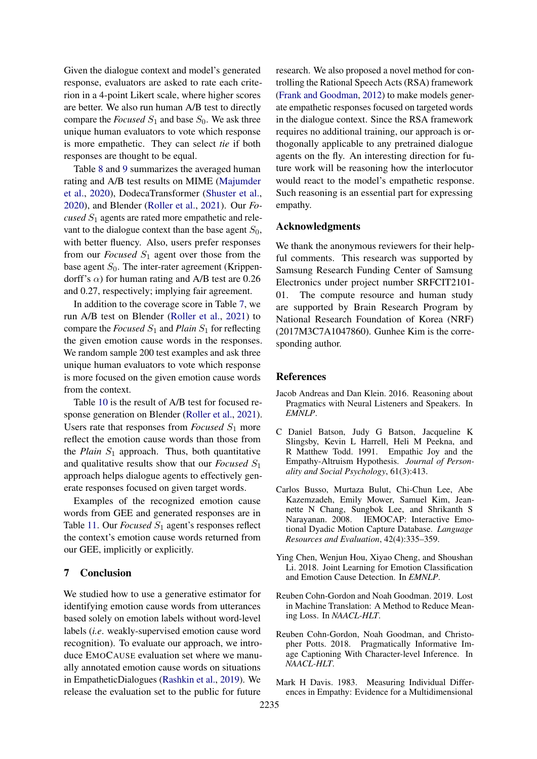Given the dialogue context and model's generated response, evaluators are asked to rate each criterion in a 4-point Likert scale, where higher scores are better. We also run human A/B test to directly compare the *Focused*  $S_1$  and base  $S_0$ . We ask three unique human evaluators to vote which response is more empathetic. They can select *tie* if both responses are thought to be equal.

Table [8](#page-7-1) and [9](#page-7-2) summarizes the averaged human rating and A/B test results on MIME [\(Majumder](#page-9-3) [et al.,](#page-9-3) [2020\)](#page-9-3), DodecaTransformer [\(Shuster et al.,](#page-10-3) [2020\)](#page-10-3), and Blender [\(Roller et al.,](#page-10-4) [2021\)](#page-10-4). Our *Focused*  $S_1$  agents are rated more empathetic and relevant to the dialogue context than the base agent  $S_0$ , with better fluency. Also, users prefer responses from our *Focused*  $S_1$  agent over those from the base agent  $S_0$ . The inter-rater agreement (Krippendorff's  $\alpha$ ) for human rating and A/B test are 0.26 and 0.27, respectively; implying fair agreement.

In addition to the coverage score in Table [7,](#page-6-3) we run A/B test on Blender [\(Roller et al.,](#page-10-4) [2021\)](#page-10-4) to compare the *Focused*  $S_1$  and *Plain*  $S_1$  for reflecting the given emotion cause words in the responses. We random sample 200 test examples and ask three unique human evaluators to vote which response is more focused on the given emotion cause words from the context.

Table [10](#page-7-3) is the result of A/B test for focused response generation on Blender [\(Roller et al.,](#page-10-4) [2021\)](#page-10-4). Users rate that responses from *Focused*  $S_1$  more reflect the emotion cause words than those from the *Plain*  $S_1$  approach. Thus, both quantitative and qualitative results show that our *Focused*  $S_1$ approach helps dialogue agents to effectively generate responses focused on given target words.

Examples of the recognized emotion cause words from GEE and generated responses are in Table [11.](#page-7-4) Our *Focused*  $S_1$  agent's responses reflect the context's emotion cause words returned from our GEE, implicitly or explicitly.

# 7 Conclusion

We studied how to use a generative estimator for identifying emotion cause words from utterances based solely on emotion labels without word-level labels (*i.e*. weakly-supervised emotion cause word recognition). To evaluate our approach, we introduce EMOCAUSE evaluation set where we manually annotated emotion cause words on situations in EmpatheticDialogues [\(Rashkin et al.,](#page-9-2) [2019\)](#page-9-2). We release the evaluation set to the public for future

research. We also proposed a novel method for controlling the Rational Speech Acts (RSA) framework [\(Frank and Goodman,](#page-9-0) [2012\)](#page-9-0) to make models generate empathetic responses focused on targeted words in the dialogue context. Since the RSA framework requires no additional training, our approach is orthogonally applicable to any pretrained dialogue agents on the fly. An interesting direction for future work will be reasoning how the interlocutor would react to the model's empathetic response. Such reasoning is an essential part for expressing empathy.

## Acknowledgments

We thank the anonymous reviewers for their helpful comments. This research was supported by Samsung Research Funding Center of Samsung Electronics under project number SRFCIT2101- 01. The compute resource and human study are supported by Brain Research Program by National Research Foundation of Korea (NRF) (2017M3C7A1047860). Gunhee Kim is the corresponding author.

### References

- <span id="page-8-2"></span>Jacob Andreas and Dan Klein. 2016. Reasoning about Pragmatics with Neural Listeners and Speakers. In *EMNLP*.
- <span id="page-8-1"></span>C Daniel Batson, Judy G Batson, Jacqueline K Slingsby, Kevin L Harrell, Heli M Peekna, and R Matthew Todd. 1991. Empathic Joy and the Empathy-Altruism Hypothesis. *Journal of Personality and Social Psychology*, 61(3):413.
- <span id="page-8-6"></span>Carlos Busso, Murtaza Bulut, Chi-Chun Lee, Abe Kazemzadeh, Emily Mower, Samuel Kim, Jeannette N Chang, Sungbok Lee, and Shrikanth S Narayanan. 2008. IEMOCAP: Interactive Emotional Dyadic Motion Capture Database. *Language Resources and Evaluation*, 42(4):335–359.
- <span id="page-8-4"></span>Ying Chen, Wenjun Hou, Xiyao Cheng, and Shoushan Li. 2018. Joint Learning for Emotion Classification and Emotion Cause Detection. In *EMNLP*.
- <span id="page-8-3"></span>Reuben Cohn-Gordon and Noah Goodman. 2019. Lost in Machine Translation: A Method to Reduce Meaning Loss. In *NAACL-HLT*.
- <span id="page-8-5"></span>Reuben Cohn-Gordon, Noah Goodman, and Christopher Potts. 2018. Pragmatically Informative Image Captioning With Character-level Inference. In *NAACL-HLT*.
- <span id="page-8-0"></span>Mark H Davis. 1983. Measuring Individual Differences in Empathy: Evidence for a Multidimensional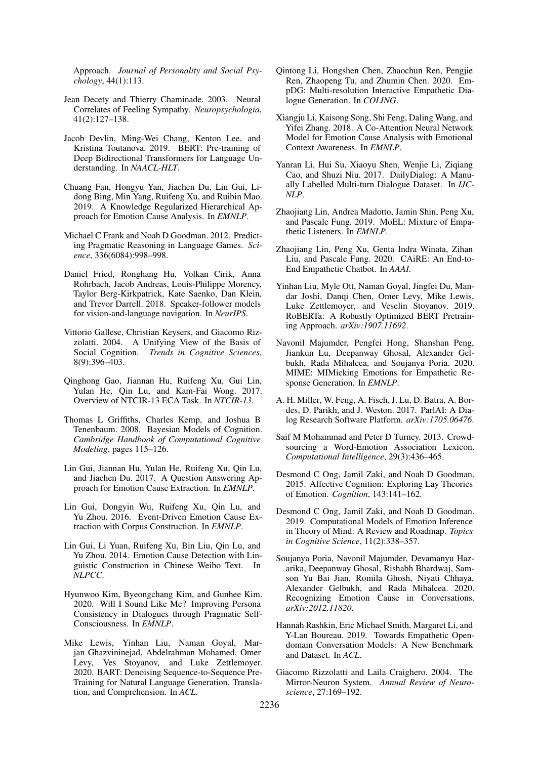Approach. *Journal of Personality and Social Psychology*, 44(1):113.

- <span id="page-9-17"></span>Jean Decety and Thierry Chaminade. 2003. Neural Correlates of Feeling Sympathy. *Neuropsychologia*, 41(2):127–138.
- <span id="page-9-23"></span>Jacob Devlin, Ming-Wei Chang, Kenton Lee, and Kristina Toutanova. 2019. BERT: Pre-training of Deep Bidirectional Transformers for Language Understanding. In *NAACL-HLT*.
- <span id="page-9-13"></span>Chuang Fan, Hongyu Yan, Jiachen Du, Lin Gui, Lidong Bing, Min Yang, Ruifeng Xu, and Ruibin Mao. 2019. A Knowledge Regularized Hierarchical Approach for Emotion Cause Analysis. In *EMNLP*.
- <span id="page-9-0"></span>Michael C Frank and Noah D Goodman. 2012. Predicting Pragmatic Reasoning in Language Games. *Science*, 336(6084):998–998.
- <span id="page-9-1"></span>Daniel Fried, Ronghang Hu, Volkan Cirik, Anna Rohrbach, Jacob Andreas, Louis-Philippe Morency, Taylor Berg-Kirkpatrick, Kate Saenko, Dan Klein, and Trevor Darrell. 2018. Speaker-follower models for vision-and-language navigation. In *NeurIPS*.
- <span id="page-9-15"></span>Vittorio Gallese, Christian Keysers, and Giacomo Rizzolatti. 2004. A Unifying View of the Basis of Social Cognition. *Trends in Cognitive Sciences*, 8(9):396–403.
- <span id="page-9-9"></span>Qinghong Gao, Jiannan Hu, Ruifeng Xu, Gui Lin, Yulan He, Qin Lu, and Kam-Fai Wong. 2017. Overview of NTCIR-13 ECA Task. In *NTCIR-13*.
- <span id="page-9-18"></span>Thomas L Griffiths, Charles Kemp, and Joshua B Tenenbaum. 2008. Bayesian Models of Cognition. *Cambridge Handbook of Computational Cognitive Modeling*, pages 115–126.
- <span id="page-9-11"></span>Lin Gui, Jiannan Hu, Yulan He, Ruifeng Xu, Qin Lu, and Jiachen Du. 2017. A Question Answering Approach for Emotion Cause Extraction. In *EMNLP*.
- <span id="page-9-8"></span>Lin Gui, Dongyin Wu, Ruifeng Xu, Qin Lu, and Yu Zhou. 2016. Event-Driven Emotion Cause Extraction with Corpus Construction. In *EMNLP*.
- <span id="page-9-7"></span>Lin Gui, Li Yuan, Ruifeng Xu, Bin Liu, Qin Lu, and Yu Zhou. 2014. Emotion Cause Detection with Linguistic Construction in Chinese Weibo Text. In *NLPCC*.
- <span id="page-9-14"></span>Hyunwoo Kim, Byeongchang Kim, and Gunhee Kim. 2020. Will I Sound Like Me? Improving Persona Consistency in Dialogues through Pragmatic Self-Consciousness. In *EMNLP*.
- <span id="page-9-21"></span>Mike Lewis, Yinhan Liu, Naman Goyal, Marjan Ghazvininejad, Abdelrahman Mohamed, Omer Levy, Ves Stoyanov, and Luke Zettlemoyer. 2020. BART: Denoising Sequence-to-Sequence Pre-Training for Natural Language Generation, Translation, and Comprehension. In *ACL*.
- <span id="page-9-6"></span>Qintong Li, Hongshen Chen, Zhaochun Ren, Pengjie Ren, Zhaopeng Tu, and Zhumin Chen. 2020. EmpDG: Multi-resolution Interactive Empathetic Dialogue Generation. In *COLING*.
- <span id="page-9-12"></span>Xiangju Li, Kaisong Song, Shi Feng, Daling Wang, and Yifei Zhang. 2018. A Co-Attention Neural Network Model for Emotion Cause Analysis with Emotional Context Awareness. In *EMNLP*.
- <span id="page-9-22"></span>Yanran Li, Hui Su, Xiaoyu Shen, Wenjie Li, Ziqiang Cao, and Shuzi Niu. 2017. DailyDialog: A Manually Labelled Multi-turn Dialogue Dataset. In *IJC-NLP*.
- <span id="page-9-5"></span>Zhaojiang Lin, Andrea Madotto, Jamin Shin, Peng Xu, and Pascale Fung. 2019. MoEL: Mixture of Empathetic Listeners. In *EMNLP*.
- <span id="page-9-4"></span>Zhaojiang Lin, Peng Xu, Genta Indra Winata, Zihan Liu, and Pascale Fung. 2020. CAiRE: An End-to-End Empathetic Chatbot. In *AAAI*.
- <span id="page-9-25"></span>Yinhan Liu, Myle Ott, Naman Goyal, Jingfei Du, Mandar Joshi, Danqi Chen, Omer Levy, Mike Lewis, Luke Zettlemoyer, and Veselin Stoyanov. 2019. RoBERTa: A Robustly Optimized BERT Pretraining Approach. *arXiv:1907.11692*.
- <span id="page-9-3"></span>Navonil Majumder, Pengfei Hong, Shanshan Peng, Jiankun Lu, Deepanway Ghosal, Alexander Gelbukh, Rada Mihalcea, and Soujanya Poria. 2020. MIME: MIMicking Emotions for Empathetic Response Generation. In *EMNLP*.
- <span id="page-9-26"></span>A. H. Miller, W. Feng, A. Fisch, J. Lu, D. Batra, A. Bordes, D. Parikh, and J. Weston. 2017. ParlAI: A Dialog Research Software Platform. *arXiv:1705.06476*.
- <span id="page-9-24"></span>Saif M Mohammad and Peter D Turney. 2013. Crowdsourcing a Word-Emotion Association Lexicon. *Computational Intelligence*, 29(3):436–465.
- <span id="page-9-19"></span>Desmond C Ong, Jamil Zaki, and Noah D Goodman. 2015. Affective Cognition: Exploring Lay Theories of Emotion. *Cognition*, 143:141–162.
- <span id="page-9-20"></span>Desmond C Ong, Jamil Zaki, and Noah D Goodman. 2019. Computational Models of Emotion Inference in Theory of Mind: A Review and Roadmap. *Topics in Cognitive Science*, 11(2):338–357.
- <span id="page-9-10"></span>Soujanya Poria, Navonil Majumder, Devamanyu Hazarika, Deepanway Ghosal, Rishabh Bhardwaj, Samson Yu Bai Jian, Romila Ghosh, Niyati Chhaya, Alexander Gelbukh, and Rada Mihalcea. 2020. Recognizing Emotion Cause in Conversations. *arXiv:2012.11820*.
- <span id="page-9-2"></span>Hannah Rashkin, Eric Michael Smith, Margaret Li, and Y-Lan Boureau. 2019. Towards Empathetic Opendomain Conversation Models: A New Benchmark and Dataset. In *ACL*.
- <span id="page-9-16"></span>Giacomo Rizzolatti and Laila Craighero. 2004. The Mirror-Neuron System. *Annual Review of Neuroscience*, 27:169–192.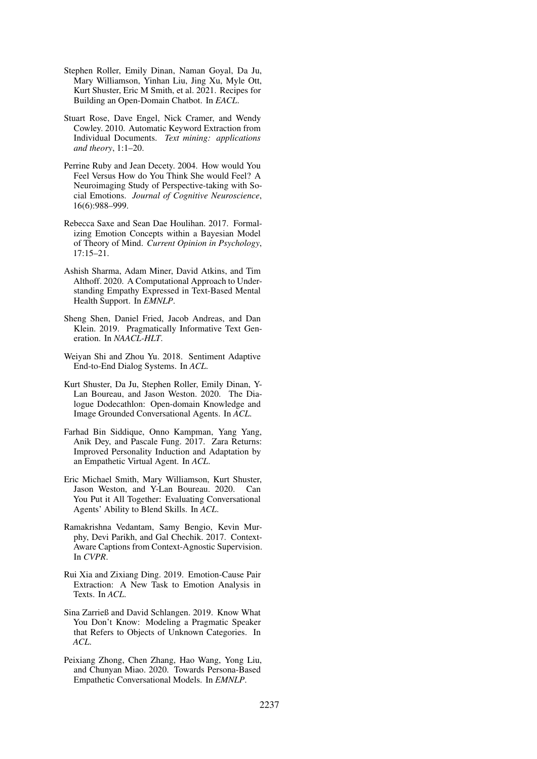- <span id="page-10-4"></span>Stephen Roller, Emily Dinan, Naman Goyal, Da Ju, Mary Williamson, Yinhan Liu, Jing Xu, Myle Ott, Kurt Shuster, Eric M Smith, et al. 2021. Recipes for Building an Open-Domain Chatbot. In *EACL*.
- <span id="page-10-13"></span>Stuart Rose, Dave Engel, Nick Cramer, and Wendy Cowley. 2010. Automatic Keyword Extraction from Individual Documents. *Text mining: applications and theory*, 1:1–20.
- <span id="page-10-1"></span>Perrine Ruby and Jean Decety. 2004. How would You Feel Versus How do You Think She would Feel? A Neuroimaging Study of Perspective-taking with Social Emotions. *Journal of Cognitive Neuroscience*, 16(6):988–999.
- <span id="page-10-12"></span>Rebecca Saxe and Sean Dae Houlihan. 2017. Formalizing Emotion Concepts within a Bayesian Model of Theory of Mind. *Current Opinion in Psychology*, 17:15–21.
- <span id="page-10-0"></span>Ashish Sharma, Adam Miner, David Atkins, and Tim Althoff. 2020. A Computational Approach to Understanding Empathy Expressed in Text-Based Mental Health Support. In *EMNLP*.
- <span id="page-10-2"></span>Sheng Shen, Daniel Fried, Jacob Andreas, and Dan Klein. 2019. Pragmatically Informative Text Generation. In *NAACL-HLT*.
- <span id="page-10-6"></span>Weiyan Shi and Zhou Yu. 2018. Sentiment Adaptive End-to-End Dialog Systems. In *ACL*.
- <span id="page-10-3"></span>Kurt Shuster, Da Ju, Stephen Roller, Emily Dinan, Y-Lan Boureau, and Jason Weston. 2020. The Dialogue Dodecathlon: Open-domain Knowledge and Image Grounded Conversational Agents. In *ACL*.
- <span id="page-10-5"></span>Farhad Bin Siddique, Onno Kampman, Yang Yang, Anik Dey, and Pascale Fung. 2017. Zara Returns: Improved Personality Induction and Adaptation by an Empathetic Virtual Agent. In *ACL*.
- <span id="page-10-7"></span>Eric Michael Smith, Mary Williamson, Kurt Shuster, Jason Weston, and Y-Lan Boureau. 2020. Can You Put it All Together: Evaluating Conversational Agents' Ability to Blend Skills. In *ACL*.
- <span id="page-10-11"></span>Ramakrishna Vedantam, Samy Bengio, Kevin Murphy, Devi Parikh, and Gal Chechik. 2017. Context-Aware Captions from Context-Agnostic Supervision. In *CVPR*.
- <span id="page-10-9"></span>Rui Xia and Zixiang Ding. 2019. Emotion-Cause Pair Extraction: A New Task to Emotion Analysis in Texts. In *ACL*.
- <span id="page-10-10"></span>Sina Zarrieß and David Schlangen. 2019. Know What You Don't Know: Modeling a Pragmatic Speaker that Refers to Objects of Unknown Categories. In *ACL*.
- <span id="page-10-8"></span>Peixiang Zhong, Chen Zhang, Hao Wang, Yong Liu, and Chunyan Miao. 2020. Towards Persona-Based Empathetic Conversational Models. In *EMNLP*.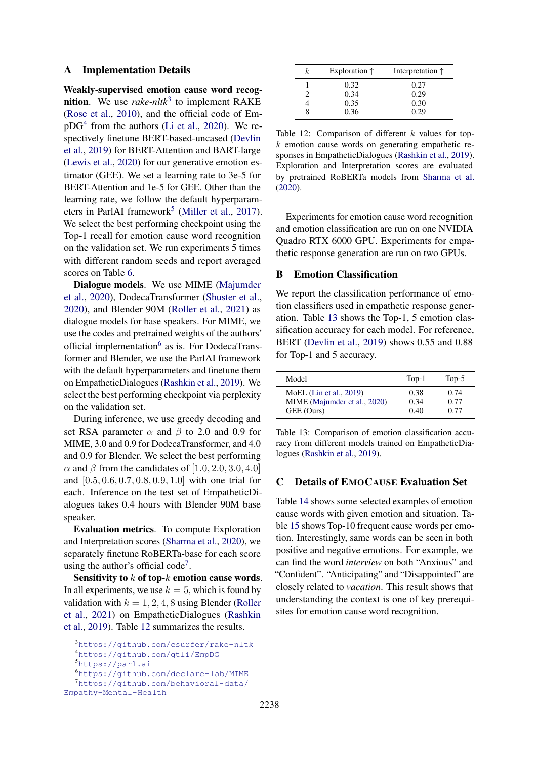## A Implementation Details

Weakly-supervised emotion cause word recognition. We use *rake-nltk*[3](#page-11-0) to implement RAKE [\(Rose et al.,](#page-10-13) [2010\)](#page-10-13), and the official code of Em- $pDG<sup>4</sup>$  $pDG<sup>4</sup>$  $pDG<sup>4</sup>$  from the authors [\(Li et al.,](#page-9-6) [2020\)](#page-9-6). We respectively finetune BERT-based-uncased [\(Devlin](#page-9-23) [et al.,](#page-9-23) [2019\)](#page-9-23) for BERT-Attention and BART-large [\(Lewis et al.,](#page-9-21) [2020\)](#page-9-21) for our generative emotion estimator (GEE). We set a learning rate to 3e-5 for BERT-Attention and 1e-5 for GEE. Other than the learning rate, we follow the default hyperparam-eters in ParlAI framework<sup>[5](#page-11-2)</sup> [\(Miller et al.,](#page-9-26) [2017\)](#page-9-26). We select the best performing checkpoint using the Top-1 recall for emotion cause word recognition on the validation set. We run experiments 5 times with different random seeds and report averaged scores on Table [6.](#page-6-2)

Dialogue models. We use MIME [\(Majumder](#page-9-3) [et al.,](#page-9-3) [2020\)](#page-9-3), DodecaTransformer [\(Shuster et al.,](#page-10-3) [2020\)](#page-10-3), and Blender 90M [\(Roller et al.,](#page-10-4) [2021\)](#page-10-4) as dialogue models for base speakers. For MIME, we use the codes and pretrained weights of the authors' official implementation<sup>[6](#page-11-3)</sup> as is. For DodecaTransformer and Blender, we use the ParlAI framework with the default hyperparameters and finetune them on EmpatheticDialogues [\(Rashkin et al.,](#page-9-2) [2019\)](#page-9-2). We select the best performing checkpoint via perplexity on the validation set.

During inference, we use greedy decoding and set RSA parameter  $\alpha$  and  $\beta$  to 2.0 and 0.9 for MIME, 3.0 and 0.9 for DodecaTransformer, and 4.0 and 0.9 for Blender. We select the best performing  $\alpha$  and  $\beta$  from the candidates of [1.0, 2.0, 3.0, 4.0] and [0.5, 0.6, 0.7, 0.8, 0.9, 1.0] with one trial for each. Inference on the test set of EmpatheticDialogues takes 0.4 hours with Blender 90M base speaker.

Evaluation metrics. To compute Exploration and Interpretation scores [\(Sharma et al.,](#page-10-0) [2020\)](#page-10-0), we separately finetune RoBERTa-base for each score using the author's official code<sup>[7](#page-11-4)</sup>.

Sensitivity to  $k$  of top- $k$  emotion cause words. In all experiments, we use  $k = 5$ , which is found by validation with  $k = 1, 2, 4, 8$  using Blender [\(Roller](#page-10-4) [et al.,](#page-10-4) [2021\)](#page-10-4) on EmpatheticDialogues [\(Rashkin](#page-9-2) [et al.,](#page-9-2) [2019\)](#page-9-2). Table [12](#page-11-5) summarizes the results.

<span id="page-11-3"></span><span id="page-11-2"></span><sup>5</sup><https://parl.ai>

<span id="page-11-4"></span><sup>6</sup><https://github.com/declare-lab/MIME>

<sup>7</sup>[https://github.com/behavioral-data/](https://github.com/behavioral-data/Empathy-Mental-Health) [Empathy-Mental-Health](https://github.com/behavioral-data/Empathy-Mental-Health)

<span id="page-11-5"></span>

| k. | Exploration $\uparrow$ | Interpretation $\uparrow$ |
|----|------------------------|---------------------------|
|    | 0.32                   | 0.27                      |
|    | 0.34                   | 0.29                      |
|    | 0.35                   | 0.30                      |
|    | 0.36                   | 0.29                      |

Table 12: Comparison of different  $k$  values for top $k$  emotion cause words on generating empathetic responses in EmpatheticDialogues [\(Rashkin et al.,](#page-9-2) [2019\)](#page-9-2). Exploration and Interpretation scores are evaluated by pretrained RoBERTa models from [Sharma et al.](#page-10-0) [\(2020\)](#page-10-0).

Experiments for emotion cause word recognition and emotion classification are run on one NVIDIA Quadro RTX 6000 GPU. Experiments for empathetic response generation are run on two GPUs.

# B Emotion Classification

We report the classification performance of emotion classifiers used in empathetic response generation. Table [13](#page-11-6) shows the Top-1, 5 emotion classification accuracy for each model. For reference, BERT [\(Devlin et al.,](#page-9-23) [2019\)](#page-9-23) shows 0.55 and 0.88 for Top-1 and 5 accuracy.

<span id="page-11-6"></span>

| Model                        | $Top-1$ | Top- $5$ |
|------------------------------|---------|----------|
| MoEL $(Lin et al., 2019)$    | 0.38    | 0.74     |
| MIME (Majumder et al., 2020) | 0.34    | 0.77     |
| GEE (Ours)                   | 0.40    | 0.77     |

Table 13: Comparison of emotion classification accuracy from different models trained on EmpatheticDialogues [\(Rashkin et al.,](#page-9-2) [2019\)](#page-9-2).

## C Details of EMOCAUSE Evaluation Set

Table [14](#page-12-0) shows some selected examples of emotion cause words with given emotion and situation. Table [15](#page-13-0) shows Top-10 frequent cause words per emotion. Interestingly, same words can be seen in both positive and negative emotions. For example, we can find the word *interview* on both "Anxious" and "Confident". "Anticipating" and "Disappointed" are closely related to *vacation*. This result shows that understanding the context is one of key prerequisites for emotion cause word recognition.

<span id="page-11-0"></span><sup>3</sup><https://github.com/csurfer/rake-nltk>

<span id="page-11-1"></span><sup>4</sup><https://github.com/qtli/EmpDG>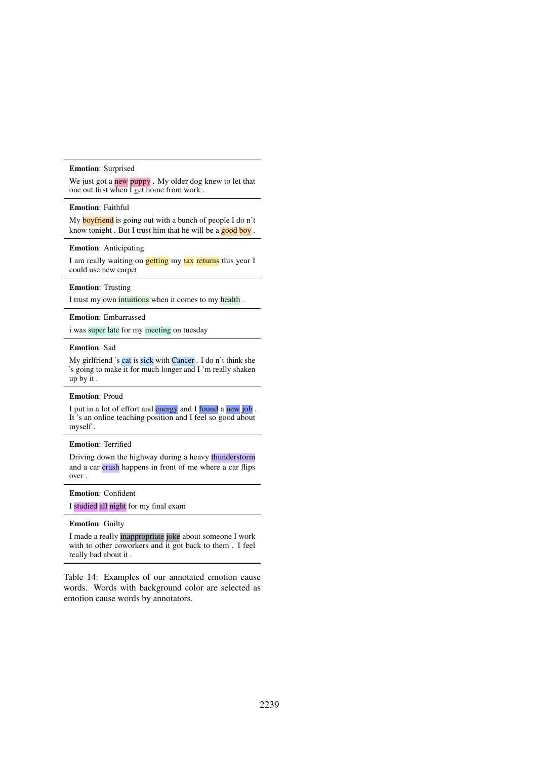#### <span id="page-12-0"></span>Emotion: Surprised

We just got a new puppy . My older dog knew to let that one out first when I get home from work .

## Emotion: Faithful

My **boyfriend** is going out with a bunch of people I do n't know tonight. But I trust him that he will be a good boy.

### Emotion: Anticipating

I am really waiting on **getting** my tax returns this year I could use new carpet

### Emotion: Trusting

I trust my own intuitions when it comes to my health .

#### Emotion: Embarrassed

i was super late for my meeting on tuesday

### Emotion: Sad

My girlfriend 's cat is sick with Cancer . I do n't think she 's going to make it for much longer and I 'm really shaken up by it .

#### Emotion: Proud

I put in a lot of effort and energy and I found a new job . It 's an online teaching position and I feel so good about myself .

### Emotion: Terrified

Driving down the highway during a heavy thunderstorm and a car crash happens in front of me where a car flips over .

#### Emotion: Confident

I studied all night for my final exam

## Emotion: Guilty

I made a really inappropriate joke about someone I work with to other coworkers and it got back to them . I feel really bad about it .

Table 14: Examples of our annotated emotion cause words. Words with background color are selected as emotion cause words by annotators.